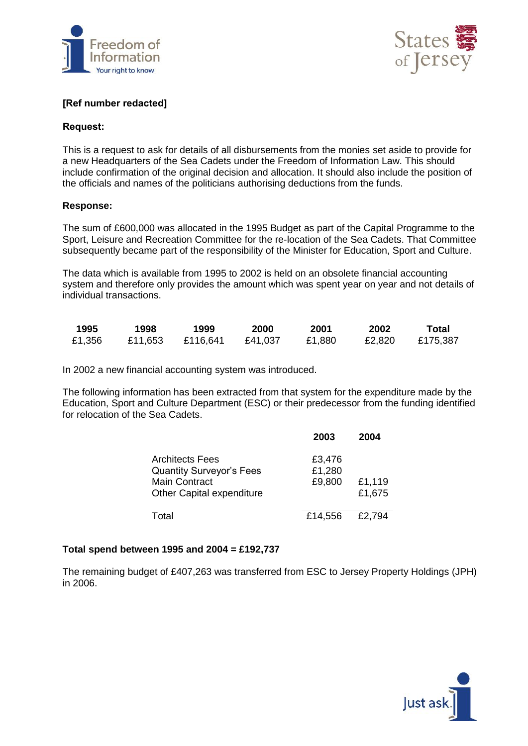



# **[Ref number redacted]**

#### **Request:**

This is a request to ask for details of all disbursements from the monies set aside to provide for a new Headquarters of the Sea Cadets under the Freedom of Information Law. This should include confirmation of the original decision and allocation. It should also include the position of the officials and names of the politicians authorising deductions from the funds.

#### **Response:**

The sum of £600,000 was allocated in the 1995 Budget as part of the Capital Programme to the Sport, Leisure and Recreation Committee for the re-location of the Sea Cadets. That Committee subsequently became part of the responsibility of the Minister for Education, Sport and Culture.

The data which is available from 1995 to 2002 is held on an obsolete financial accounting system and therefore only provides the amount which was spent year on year and not details of individual transactions.

| 1995   | 1998    | 1999     | 2000    | 2001   | 2002   | Total    |
|--------|---------|----------|---------|--------|--------|----------|
| £1,356 | £11,653 | £116.641 | £41,037 | £1,880 | £2,820 | £175,387 |

In 2002 a new financial accounting system was introduced.

The following information has been extracted from that system for the expenditure made by the Education, Sport and Culture Department (ESC) or their predecessor from the funding identified for relocation of the Sea Cadets.

|                                  | 2003    | 2004   |
|----------------------------------|---------|--------|
| Architects Fees                  | £3,476  |        |
| <b>Quantity Surveyor's Fees</b>  | £1,280  |        |
| <b>Main Contract</b>             | £9,800  | £1,119 |
| <b>Other Capital expenditure</b> |         | £1,675 |
| Total                            | £14,556 | £2,794 |

### **Total spend between 1995 and 2004 = £192,737**

The remaining budget of £407,263 was transferred from ESC to Jersey Property Holdings (JPH) in 2006.

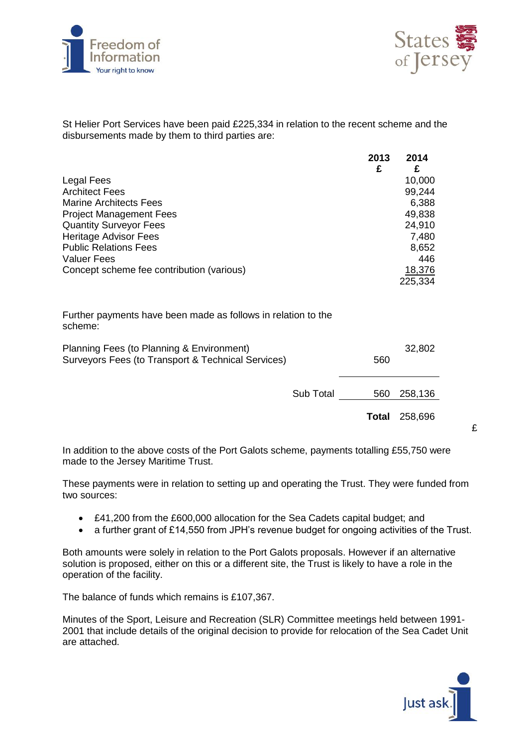



St Helier Port Services have been paid £225,334 in relation to the recent scheme and the disbursements made by them to third parties are:

|                                                                          | 2013<br>£ | 2014<br>£ |
|--------------------------------------------------------------------------|-----------|-----------|
| Legal Fees                                                               |           | 10,000    |
| <b>Architect Fees</b>                                                    |           | 99,244    |
| <b>Marine Architects Fees</b>                                            |           | 6,388     |
| <b>Project Management Fees</b>                                           |           | 49,838    |
| <b>Quantity Surveyor Fees</b>                                            |           | 24,910    |
| <b>Heritage Advisor Fees</b>                                             |           | 7,480     |
| <b>Public Relations Fees</b>                                             |           | 8,652     |
| <b>Valuer Fees</b>                                                       |           | 446       |
| Concept scheme fee contribution (various)                                |           | 18,376    |
|                                                                          |           | 225,334   |
| Further payments have been made as follows in relation to the<br>scheme: |           |           |
| Dlessing Fees (to Dlessing 0 Factor agent)                               |           | ההה הה    |

| Planning Fees (to Planning & Environment)          | 32,802 |  |
|----------------------------------------------------|--------|--|
| Surveyors Fees (to Transport & Technical Services) | 560    |  |
|                                                    |        |  |

Sub Total 560 258,136

**Total** 258,696

£

In addition to the above costs of the Port Galots scheme, payments totalling £55,750 were made to the Jersey Maritime Trust.

These payments were in relation to setting up and operating the Trust. They were funded from two sources:

- £41,200 from the £600,000 allocation for the Sea Cadets capital budget; and
- a further grant of £14,550 from JPH's revenue budget for ongoing activities of the Trust.

Both amounts were solely in relation to the Port Galots proposals. However if an alternative solution is proposed, either on this or a different site, the Trust is likely to have a role in the operation of the facility.

The balance of funds which remains is £107,367.

Minutes of the Sport, Leisure and Recreation (SLR) Committee meetings held between 1991- 2001 that include details of the original decision to provide for relocation of the Sea Cadet Unit are attached.